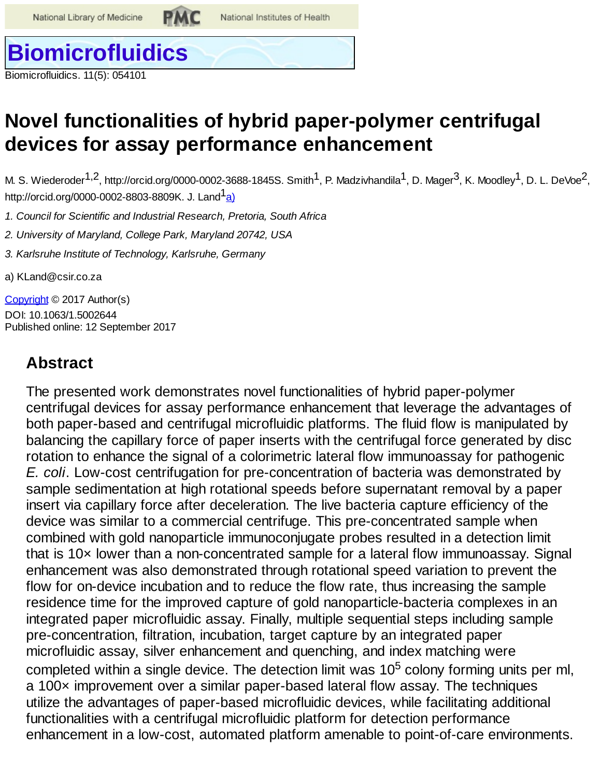National Institutes of Health

# **[Biomicrofluidics](http://aip.scitation.org/journal/bmf)**

Biomicrofluidics. 11(5): 054101

# **Novel functionalities of hybrid paper-polymer centrifugal devices for assay performance enhancement**

M. S. Wiederoder $^{1,2}$ , http://orcid.org/0000-0002-3688-1845S. Smith $^1$ , P. Madzivhandila $^1$ , D. Mager $^3$ , K. Moodley $^1$ , D. L. DeVoe $^2$ , http://orcid.org/0000-0002-8803-8809K. J. Land<sup>1</sup>a)

*1. Council for Scientific and Industrial Research, Pretoria, South Africa*

*2. University of Maryland, College Park, Maryland 20742, USA*

*3. Karlsruhe Institute of Technology, Karlsruhe, Germany*

<span id="page-0-0"></span>a) KLand@csir.co.za

[Copyright](#page-13-0) © 2017 Author(s) DOI: 10.1063/1.5002644 Published online: 12 September 2017

# **Abstract**

The presented work demonstrates novel functionalities of hybrid paper-polymer centrifugal devices for assay performance enhancement that leverage the advantages of both paper-based and centrifugal microfluidic platforms. The fluid flow is manipulated by balancing the capillary force of paper inserts with the centrifugal force generated by disc rotation to enhance the signal of a colorimetric lateral flow immunoassay for pathogenic *E. coli*. Low-cost centrifugation for pre-concentration of bacteria was demonstrated by sample sedimentation at high rotational speeds before supernatant removal by a paper insert via capillary force after deceleration. The live bacteria capture efficiency of the device was similar to a commercial centrifuge. This pre-concentrated sample when combined with gold nanoparticle immunoconjugate probes resulted in a detection limit that is 10× lower than a non-concentrated sample for a lateral flow immunoassay. Signal enhancement was also demonstrated through rotational speed variation to prevent the flow for on-device incubation and to reduce the flow rate, thus increasing the sample residence time for the improved capture of gold nanoparticle-bacteria complexes in an integrated paper microfluidic assay. Finally, multiple sequential steps including sample pre-concentration, filtration, incubation, target capture by an integrated paper microfluidic assay, silver enhancement and quenching, and index matching were completed within a single device. The detection limit was 10<sup>5</sup> colony forming units per ml, a 100× improvement over a similar paper-based lateral flow assay. The techniques utilize the advantages of paper-based microfluidic devices, while facilitating additional functionalities with a centrifugal microfluidic platform for detection performance enhancement in a low-cost, automated platform amenable to point-of-care environments.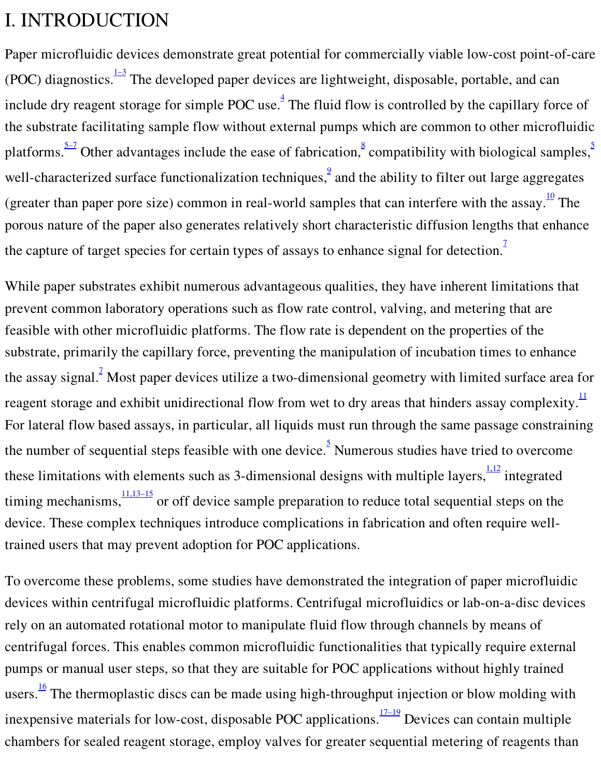# I. INTRODUCTION

Paper microfluidic devices demonstrate great potential for commercially viable low-cost point-of-care (POC) diagnostics.  $\frac{1-3}{2}$  The developed paper devices are lightweight, disposable, portable, and can include dry reagent storage for simple POC use. $\frac{4}{3}$  $\frac{4}{3}$  $\frac{4}{3}$  The fluid flow is controlled by the capillary force of the substrate facilitating sample flow without external pumps which are common to other microfluidic platforms.  $\frac{5-7}{1}$  $\frac{5-7}{1}$  $\frac{5-7}{1}$  Other advantages include the ease of fabrication,  $\frac{8}{1}$  $\frac{8}{1}$  $\frac{8}{1}$  compatibility with biological samples, well-characterized surface functionalization techniques,  $\frac{9}{2}$  $\frac{9}{2}$  $\frac{9}{2}$  and the ability to filter out large aggregates (greater than paper pore size) common in real-world samples that can interfere with the assay. $\frac{10}{10}$  $\frac{10}{10}$  $\frac{10}{10}$  The porous nature of the paper also generates relatively short characteristic diffusion lengths that enhance the capture of target species for certain types of assays to enhance signal for detection.<sup>[7](#page-13-4)</sup>

While paper substrates exhibit numerous advantageous qualities, they have inherent limitations that prevent common laboratory operations such as flow rate control, valving, and metering that are feasible with other microfluidic platforms. The flow rate is dependent on the properties of the substrate, primarily the capillary force, preventing the manipulation of incubation times to enhance the assay signal.<sup>2</sup> Most paper devices utilize a two-dimensional geometry with limited surface area for reagent storage and exhibit unidirectional flow from wet to dry areas that hinders assay complexity. $\frac{11}{11}$  $\frac{11}{11}$  $\frac{11}{11}$ For lateral flow based assays, in particular, all liquids must run through the same passage constraining the number of sequential steps feasible with one device.<sup>[5](#page-13-3)</sup> Numerous studies have tried to overcome these limitations with elements such as 3-dimensional designs with multiple layers,  $\frac{1.12}{1.12}$  integrated timing mechanisms,  $\frac{11,13-15}{100}$  or off device sample preparation to reduce total sequential steps on the device. These complex techniques introduce complications in fabrication and often require welltrained users that may prevent adoption for POC applications.

To overcome these problems, some studies have demonstrated the integration of paper microfluidic devices within centrifugal microfluidic platforms. Centrifugal microfluidics or lab-on-a-disc devices rely on an automated rotational motor to manipulate fluid flow through channels by means of centrifugal forces. This enables common microfluidic functionalities that typically require external pumps or manual user steps, so that they are suitable for POC applications without highly trained users.<sup>[16](#page-14-4)</sup> The thermoplastic discs can be made using high-throughput injection or blow molding with inexpensive materials for low-cost, disposable POC applications.  $\frac{17-19}{2}$  Devices can contain multiple chambers for sealed reagent storage, employ valves for greater sequential metering of reagents than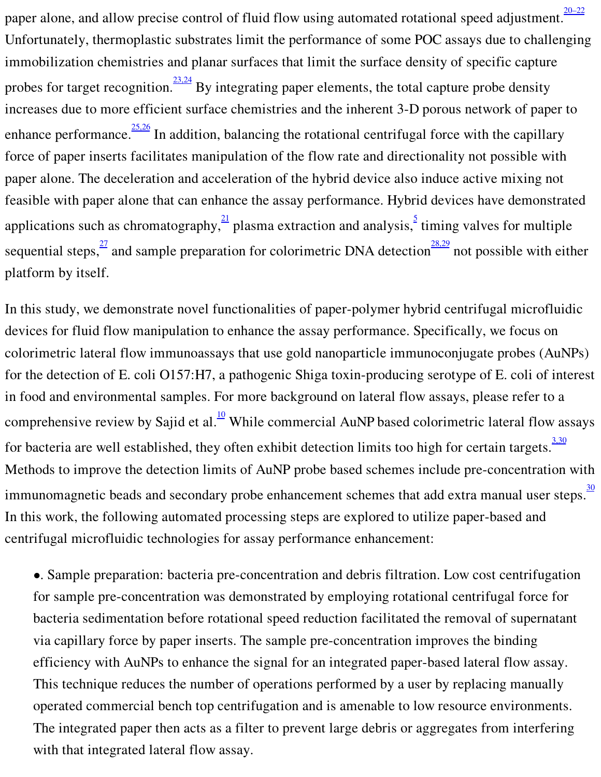paper alone, and allow precise control of fluid flow using automated rotational speed adjustment.  $\frac{20-22}{20}$ Unfortunately, thermoplastic substrates limit the performance of some POC assays due to challenging immobilization chemistries and planar surfaces that limit the surface density of specific capture probes for target recognition.<sup>[23,24](#page-14-7)</sup> By integrating paper elements, the total capture probe density increases due to more efficient surface chemistries and the inherent 3-D porous network of paper to enhance performance.  $\frac{25,26}{1}$  $\frac{25,26}{1}$  $\frac{25,26}{1}$  In addition, balancing the rotational centrifugal force with the capillary force of paper inserts facilitates manipulation of the flow rate and directionality not possible with paper alone. The deceleration and acceleration of the hybrid device also induce active mixing not feasible with paper alone that can enhance the assay performance. Hybrid devices have demonstrated applications such as chromatography, $\frac{21}{1}$  $\frac{21}{1}$  $\frac{21}{1}$  plasma extraction and analysis,  $\frac{5}{1}$  $\frac{5}{1}$  $\frac{5}{1}$  timing valves for multiple sequential steps,  $\frac{27}{1}$  $\frac{27}{1}$  $\frac{27}{1}$  and sample preparation for colorimetric DNA detection  $\frac{28,29}{1}$  $\frac{28,29}{1}$  $\frac{28,29}{1}$  not possible with either platform by itself.

In this study, we demonstrate novel functionalities of paper-polymer hybrid centrifugal microfluidic devices for fluid flow manipulation to enhance the assay performance. Specifically, we focus on colorimetric lateral flow immunoassays that use gold nanoparticle immunoconjugate probes (AuNPs) for the detection of E. coli O157:H7, a pathogenic Shiga toxin-producing serotype of E. coli of interest in food and environmental samples. For more background on lateral flow assays, please refer to a comprehensive review by Sajid et al. $^{10}$  $^{10}$  $^{10}$  While commercial AuNP based colorimetric lateral flow assays for bacteria are well established, they often exhibit detection limits too high for certain targets.  $\frac{3.30}{2}$ Methods to improve the detection limits of AuNP probe based schemes include pre-concentration with immunomagnetic beads and secondary probe enhancement schemes that add extra manual user steps. $\frac{30}{20}$  $\frac{30}{20}$  $\frac{30}{20}$ In this work, the following automated processing steps are explored to utilize paper-based and centrifugal microfluidic technologies for assay performance enhancement:

•. Sample preparation: bacteria pre-concentration and debris filtration. Low cost centrifugation for sample pre-concentration was demonstrated by employing rotational centrifugal force for bacteria sedimentation before rotational speed reduction facilitated the removal of supernatant via capillary force by paper inserts. The sample pre-concentration improves the binding efficiency with AuNPs to enhance the signal for an integrated paper-based lateral flow assay. This technique reduces the number of operations performed by a user by replacing manually operated commercial bench top centrifugation and is amenable to low resource environments. The integrated paper then acts as a filter to prevent large debris or aggregates from interfering with that integrated lateral flow assay.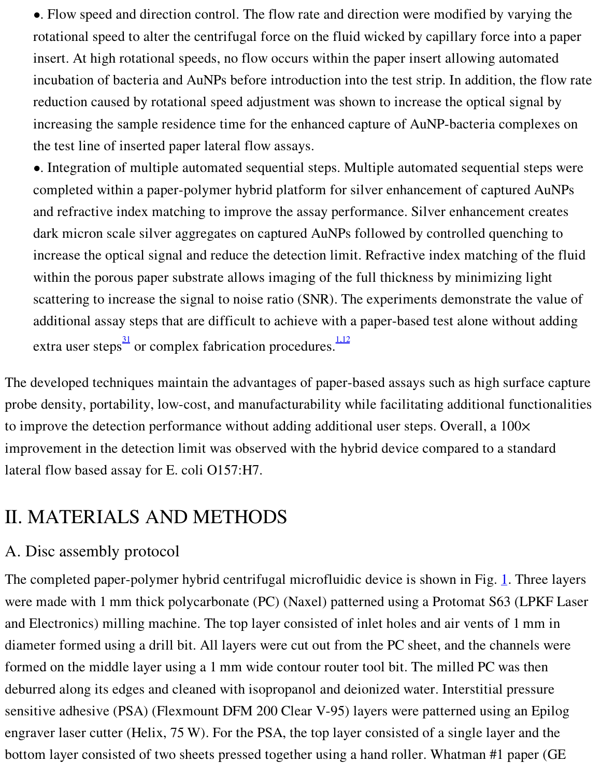•. Flow speed and direction control. The flow rate and direction were modified by varying the rotational speed to alter the centrifugal force on the fluid wicked by capillary force into a paper insert. At high rotational speeds, no flow occurs within the paper insert allowing automated incubation of bacteria and AuNPs before introduction into the test strip. In addition, the flow rate reduction caused by rotational speed adjustment was shown to increase the optical signal by increasing the sample residence time for the enhanced capture of AuNP-bacteria complexes on the test line of inserted paper lateral flow assays.

•. Integration of multiple automated sequential steps. Multiple automated sequential steps were completed within a paper-polymer hybrid platform for silver enhancement of captured AuNPs and refractive index matching to improve the assay performance. Silver enhancement creates dark micron scale silver aggregates on captured AuNPs followed by controlled quenching to increase the optical signal and reduce the detection limit. Refractive index matching of the fluid within the porous paper substrate allows imaging of the full thickness by minimizing light scattering to increase the signal to noise ratio (SNR). The experiments demonstrate the value of additional assay steps that are difficult to achieve with a paper-based test alone without adding extra user steps<sup>[31](#page-14-13)</sup> or complex fabrication procedures.<sup>1.12</sup>

The developed techniques maintain the advantages of paper-based assays such as high surface capture probe density, portability, low-cost, and manufacturability while facilitating additional functionalities to improve the detection performance without adding additional user steps. Overall, a 100× improvement in the detection limit was observed with the hybrid device compared to a standard lateral flow based assay for E. coli O157:H7.

# II. MATERIALS AND METHODS

### A. Disc assembly protocol

The completed paper-polymer hybrid centrifugal microfluidic device is shown in Fig. [1.](#page-4-0) Three layers were made with 1 mm thick polycarbonate (PC) (Naxel) patterned using a Protomat S63 (LPKF Laser and Electronics) milling machine. The top layer consisted of inlet holes and air vents of 1 mm in diameter formed using a drill bit. All layers were cut out from the PC sheet, and the channels were formed on the middle layer using a 1 mm wide contour router tool bit. The milled PC was then deburred along its edges and cleaned with isopropanol and deionized water. Interstitial pressure sensitive adhesive (PSA) (Flexmount DFM 200 Clear V-95) layers were patterned using an Epilog engraver laser cutter (Helix, 75 W). For the PSA, the top layer consisted of a single layer and the bottom layer consisted of two sheets pressed together using a hand roller. Whatman #1 paper (GE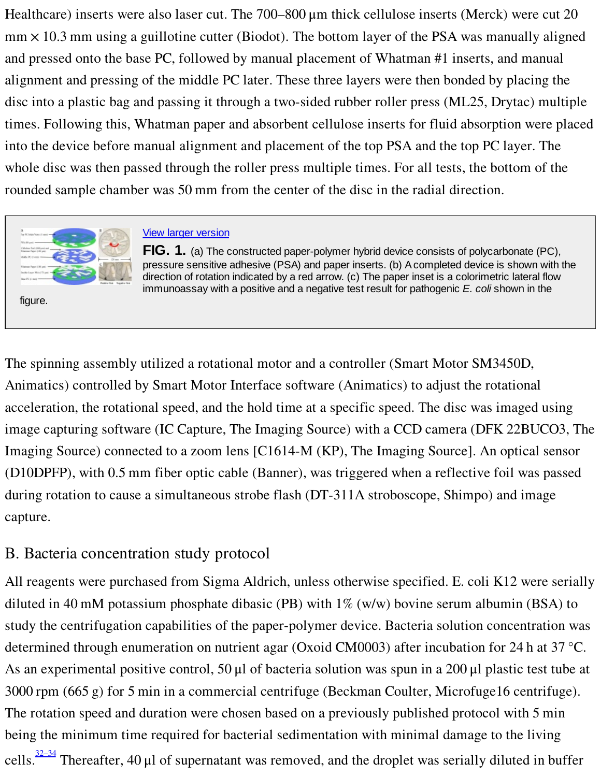Healthcare) inserts were also laser cut. The 700–800 μm thick cellulose inserts (Merck) were cut 20 mm × 10.3 mm using a guillotine cutter (Biodot). The bottom layer of the PSA was manually aligned and pressed onto the base PC, followed by manual placement of Whatman #1 inserts, and manual alignment and pressing of the middle PC later. These three layers were then bonded by placing the disc into a plastic bag and passing it through a two-sided rubber roller press (ML25, Drytac) multiple times. Following this, Whatman paper and absorbent cellulose inserts for fluid absorption were placed into the device before manual alignment and placement of the top PSA and the top PC layer. The whole disc was then passed through the roller press multiple times. For all tests, the bottom of the rounded sample chamber was 50 mm from the center of the disc in the radial direction.

<span id="page-4-0"></span>

figure.

View larger [version](#page-16-0)

**FIG. 1.** (a) The constructed paper-polymer hybrid device consists of polycarbonate (PC), pressure sensitive adhesive (PSA) and paper inserts. (b) Acompleted device is shown with the direction of rotation indicated by a red arrow. (c) The paper inset is a colorimetric lateral flow immunoassay with a positive and a negative test result for pathogenic *E. coli* shown in the

The spinning assembly utilized a rotational motor and a controller (Smart Motor SM3450D, Animatics) controlled by Smart Motor Interface software (Animatics) to adjust the rotational acceleration, the rotational speed, and the hold time at a specific speed. The disc was imaged using image capturing software (IC Capture, The Imaging Source) with a CCD camera (DFK 22BUCO3, The Imaging Source) connected to a zoom lens [C1614-M (KP), The Imaging Source]. An optical sensor (D10DPFP), with 0.5 mm fiber optic cable (Banner), was triggered when a reflective foil was passed during rotation to cause a simultaneous strobe flash (DT-311A stroboscope, Shimpo) and image capture.

### <span id="page-4-1"></span>B. Bacteria concentration study protocol

All reagents were purchased from Sigma Aldrich, unless otherwise specified. E. coli K12 were serially diluted in 40 mM potassium phosphate dibasic (PB) with 1% (w/w) bovine serum albumin (BSA) to study the centrifugation capabilities of the paper-polymer device. Bacteria solution concentration was determined through enumeration on nutrient agar (Oxoid CM0003) after incubation for 24 h at 37 °C. As an experimental positive control, 50 μl of bacteria solution was spun in a 200 μl plastic test tube at 3000 rpm (665 g) for 5 min in a commercial centrifuge (Beckman Coulter, Microfuge16 centrifuge). The rotation speed and duration were chosen based on a previously published protocol with 5 min being the minimum time required for bacterial sedimentation with minimal damage to the living cells.<sup>[32–34](#page-14-14)</sup> Thereafter, 40 µl of supernatant was removed, and the droplet was serially diluted in buffer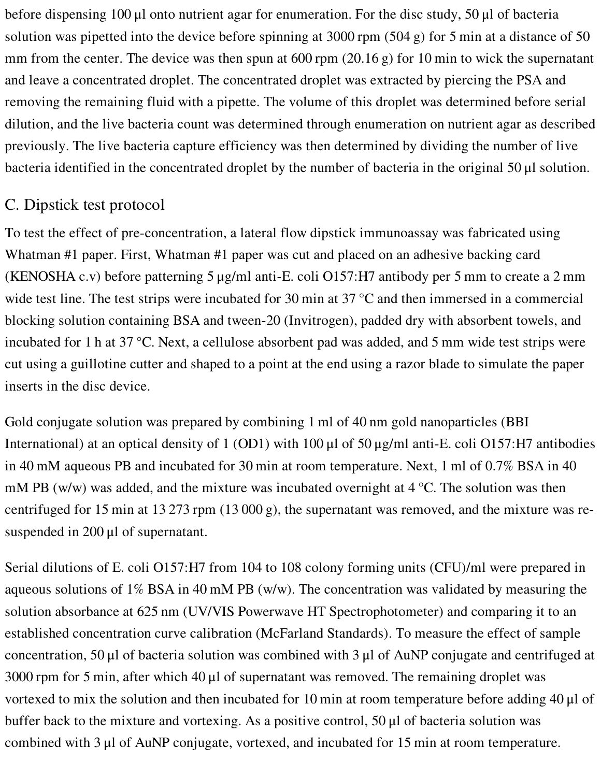before dispensing 100 μl onto nutrient agar for enumeration. For the disc study, 50 μl of bacteria solution was pipetted into the device before spinning at 3000 rpm (504 g) for 5 min at a distance of 50 mm from the center. The device was then spun at 600 rpm (20.16 g) for 10 min to wick the supernatant and leave a concentrated droplet. The concentrated droplet was extracted by piercing the PSA and removing the remaining fluid with a pipette. The volume of this droplet was determined before serial dilution, and the live bacteria count was determined through enumeration on nutrient agar as described previously. The live bacteria capture efficiency was then determined by dividing the number of live bacteria identified in the concentrated droplet by the number of bacteria in the original 50 μl solution.

## <span id="page-5-0"></span>C. Dipstick test protocol

To test the effect of pre-concentration, a lateral flow dipstick immunoassay was fabricated using Whatman #1 paper. First, Whatman #1 paper was cut and placed on an adhesive backing card (KENOSHA c.v) before patterning 5 μg/ml anti-E. coli O157:H7 antibody per 5 mm to create a 2 mm wide test line. The test strips were incubated for 30 min at 37 °C and then immersed in a commercial blocking solution containing BSA and tween-20 (Invitrogen), padded dry with absorbent towels, and incubated for 1 h at 37 °C. Next, a cellulose absorbent pad was added, and 5 mm wide test strips were cut using a guillotine cutter and shaped to a point at the end using a razor blade to simulate the paper inserts in the disc device.

Gold conjugate solution was prepared by combining 1 ml of 40 nm gold nanoparticles (BBI International) at an optical density of 1 (OD1) with 100 μl of 50 μg/ml anti-E. coli O157:H7 antibodies in 40 mM aqueous PB and incubated for 30 min at room temperature. Next, 1 ml of 0.7% BSA in 40 mM PB (w/w) was added, and the mixture was incubated overnight at  $4^{\circ}$ C. The solution was then centrifuged for 15 min at 13 273 rpm (13 000 g), the supernatant was removed, and the mixture was resuspended in 200 μl of supernatant.

Serial dilutions of E. coli O157:H7 from 104 to 108 colony forming units (CFU)/ml were prepared in aqueous solutions of 1% BSA in 40 mM PB (w/w). The concentration was validated by measuring the solution absorbance at 625 nm (UV/VIS Powerwave HT Spectrophotometer) and comparing it to an established concentration curve calibration (McFarland Standards). To measure the effect of sample concentration, 50 μl of bacteria solution was combined with 3 μl of AuNP conjugate and centrifuged at 3000 rpm for 5 min, after which 40 μl of supernatant was removed. The remaining droplet was vortexed to mix the solution and then incubated for 10 min at room temperature before adding 40 μl of buffer back to the mixture and vortexing. As a positive control, 50 μl of bacteria solution was combined with 3 μl of AuNP conjugate, vortexed, and incubated for 15 min at room temperature.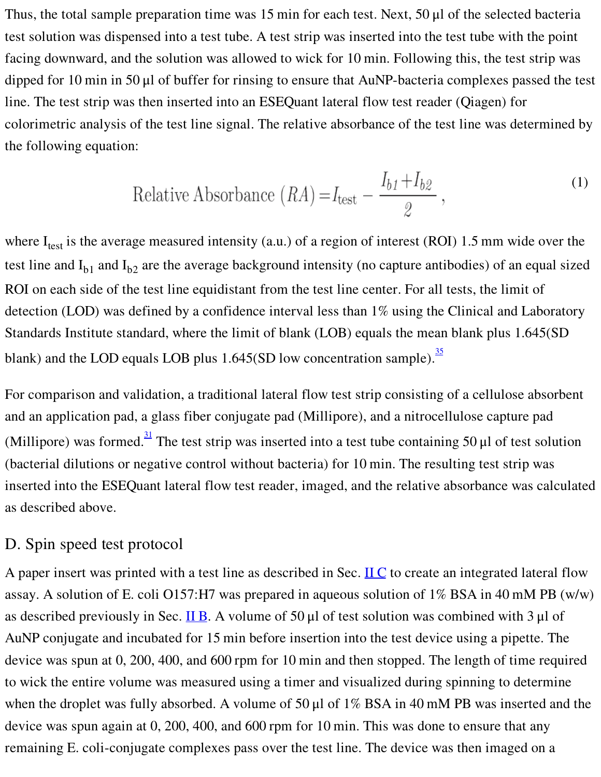Thus, the total sample preparation time was 15 min for each test. Next, 50 μl of the selected bacteria test solution was dispensed into a test tube. A test strip was inserted into the test tube with the point facing downward, and the solution was allowed to wick for 10 min. Following this, the test strip was dipped for 10 min in 50 μl of buffer for rinsing to ensure that AuNP-bacteria complexes passed the test line. The test strip was then inserted into an ESEQuant lateral flow test reader (Qiagen) for colorimetric analysis of the test line signal. The relative absorbance of the test line was determined by the following equation:

Relative Absorbance 
$$
(RA) = I_{\text{test}} - \frac{I_{b1} + I_{b2}}{2}
$$
, (1)

<span id="page-6-0"></span>where  $I_{test}$  is the average measured intensity (a.u.) of a region of interest (ROI) 1.5 mm wide over the test line and  $I_{b1}$  and  $I_{b2}$  are the average background intensity (no capture antibodies) of an equal sized ROI on each side of the test line equidistant from the test line center. For all tests, the limit of detection (LOD) was defined by a confidence interval less than 1% using the Clinical and Laboratory Standards Institute standard, where the limit of blank (LOB) equals the mean blank plus 1.645(SD blank) and the LOD equals LOB plus  $1.645(SD)$  low concentration sample).

For comparison and validation, a traditional lateral flow test strip consisting of a cellulose absorbent and an application pad, a glass fiber conjugate pad (Millipore), and a nitrocellulose capture pad (Millipore) was formed.<sup>[31](#page-14-13)</sup> The test strip was inserted into a test tube containing 50 µl of test solution (bacterial dilutions or negative control without bacteria) for 10 min. The resulting test strip was inserted into the ESEQuant lateral flow test reader, imaged, and the relative absorbance was calculated as described above.

#### D. Spin speed test protocol

A paper insert was printed with a test line as described in Sec.  $\overline{ILC}$  $\overline{ILC}$  $\overline{ILC}$  to create an integrated lateral flow assay. A solution of E. coli O157:H7 was prepared in aqueous solution of 1% BSA in 40 mM PB (w/w) as described previously in Sec. [II](#page-4-1) B. A volume of 50 μl of test solution was combined with 3 μl of AuNP conjugate and incubated for 15 min before insertion into the test device using a pipette. The device was spun at 0, 200, 400, and 600 rpm for 10 min and then stopped. The length of time required to wick the entire volume was measured using a timer and visualized during spinning to determine when the droplet was fully absorbed. A volume of 50 μl of 1% BSA in 40 mM PB was inserted and the device was spun again at 0, 200, 400, and 600 rpm for 10 min. This was done to ensure that any remaining E. coli-conjugate complexes pass over the test line. The device was then imaged on a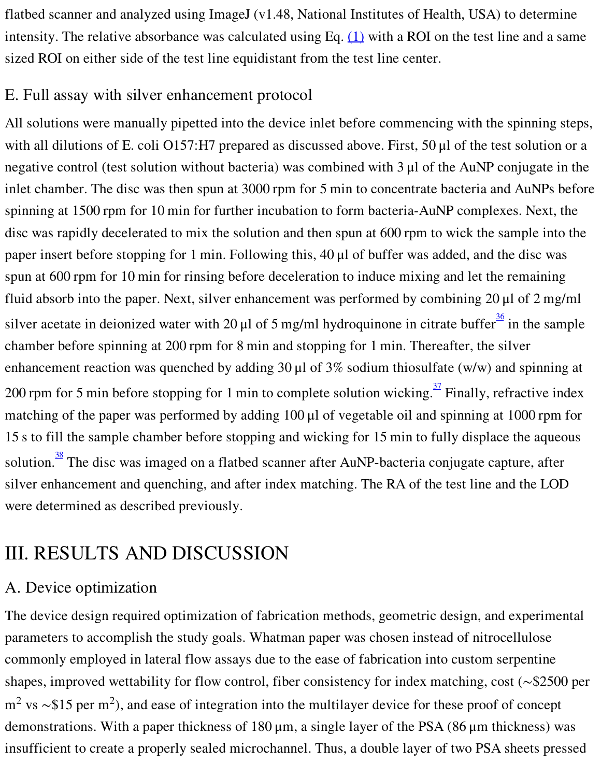flatbed scanner and analyzed using ImageJ (v1.48, National Institutes of Health, USA) to determine intensity. The relative absorbance was calculated using Eq.  $(1)$  with a ROI on the test line and a same sized ROI on either side of the test line equidistant from the test line center.

#### E. Full assay with silver enhancement protocol

All solutions were manually pipetted into the device inlet before commencing with the spinning steps, with all dilutions of E. coli O157:H7 prepared as discussed above. First, 50 μl of the test solution or a negative control (test solution without bacteria) was combined with 3 μl of the AuNP conjugate in the inlet chamber. The disc was then spun at 3000 rpm for 5 min to concentrate bacteria and AuNPs before spinning at 1500 rpm for 10 min for further incubation to form bacteria-AuNP complexes. Next, the disc was rapidly decelerated to mix the solution and then spun at 600 rpm to wick the sample into the paper insert before stopping for 1 min. Following this, 40 μl of buffer was added, and the disc was spun at 600 rpm for 10 min for rinsing before deceleration to induce mixing and let the remaining fluid absorb into the paper. Next, silver enhancement was performed by combining 20 μl of 2 mg/ml silver acetate in deionized water with 20  $\mu$ l of 5 mg/ml hydroquinone in citrate buffer  $\frac{36}{3}$  $\frac{36}{3}$  $\frac{36}{3}$  in the sample chamber before spinning at 200 rpm for 8 min and stopping for 1 min. Thereafter, the silver enhancement reaction was quenched by adding 30 μl of 3% sodium thiosulfate (w/w) and spinning at 200 rpm for 5 min before stopping for 1 min to complete solution wicking.  $\frac{37}{2}$  $\frac{37}{2}$  $\frac{37}{2}$  Finally, refractive index matching of the paper was performed by adding 100 μl of vegetable oil and spinning at 1000 rpm for 15 s to fill the sample chamber before stopping and wicking for 15 min to fully displace the aqueous solution.<sup>[38](#page-15-3)</sup> The disc was imaged on a flatbed scanner after AuNP-bacteria conjugate capture, after silver enhancement and quenching, and after index matching. The RA of the test line and the LOD were determined as described previously.

# III. RESULTS AND DISCUSSION

### A. Device optimization

The device design required optimization of fabrication methods, geometric design, and experimental parameters to accomplish the study goals. Whatman paper was chosen instead of nitrocellulose commonly employed in lateral flow assays due to the ease of fabrication into custom serpentine shapes, improved wettability for flow control, fiber consistency for index matching, cost (∼\$2500 per m<sup>2</sup> vs ~\$15 per m<sup>2</sup>), and ease of integration into the multilayer device for these proof of concept demonstrations. With a paper thickness of 180 μm, a single layer of the PSA (86 μm thickness) was insufficient to create a properly sealed microchannel. Thus, a double layer of two PSA sheets pressed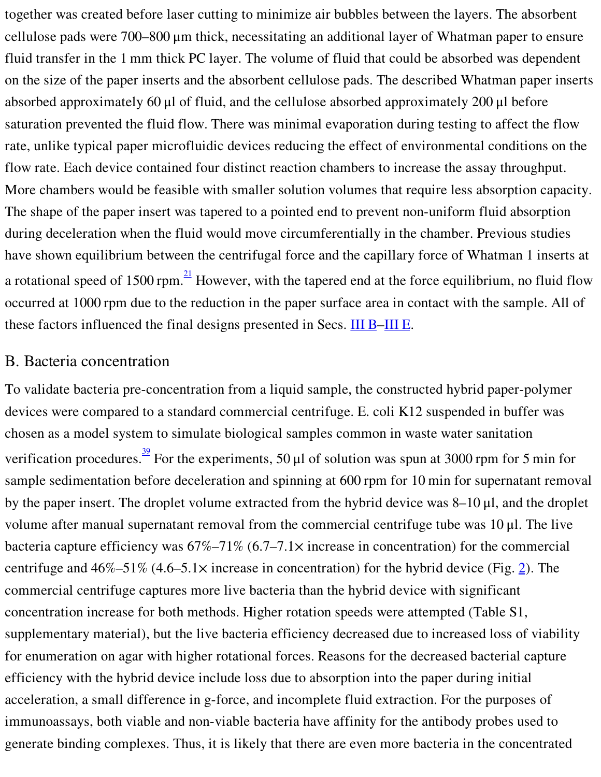together was created before laser cutting to minimize air bubbles between the layers. The absorbent cellulose pads were 700–800 μm thick, necessitating an additional layer of Whatman paper to ensure fluid transfer in the 1 mm thick PC layer. The volume of fluid that could be absorbed was dependent on the size of the paper inserts and the absorbent cellulose pads. The described Whatman paper inserts absorbed approximately 60 μl of fluid, and the cellulose absorbed approximately 200 μl before saturation prevented the fluid flow. There was minimal evaporation during testing to affect the flow rate, unlike typical paper microfluidic devices reducing the effect of environmental conditions on the flow rate. Each device contained four distinct reaction chambers to increase the assay throughput. More chambers would be feasible with smaller solution volumes that require less absorption capacity. The shape of the paper insert was tapered to a pointed end to prevent non-uniform fluid absorption during deceleration when the fluid would move circumferentially in the chamber. Previous studies have shown equilibrium between the centrifugal force and the capillary force of Whatman 1 inserts at a rotational speed of 1500 rpm. $\frac{21}{1}$  $\frac{21}{1}$  $\frac{21}{1}$  However, with the tapered end at the force equilibrium, no fluid flow occurred at 1000 rpm due to the reduction in the paper surface area in contact with the sample. All of these factors influenced the final designs presented in Secs. [III](#page-10-0) B–III E.

#### <span id="page-8-0"></span>B. Bacteria concentration

To validate bacteria pre-concentration from a liquid sample, the constructed hybrid paper-polymer devices were compared to a standard commercial centrifuge. E. coli K12 suspended in buffer was chosen as a model system to simulate biological samples common in waste water sanitation verification procedures. <sup>[39](#page-15-4)</sup> For the experiments, 50 µl of solution was spun at 3000 rpm for 5 min for sample sedimentation before deceleration and spinning at 600 rpm for 10 min for supernatant removal by the paper insert. The droplet volume extracted from the hybrid device was 8–10 μl, and the droplet volume after manual supernatant removal from the commercial centrifuge tube was 10 μl. The live bacteria capture efficiency was  $67\% -71\%$   $(6.7 -7.1 \times$  increase in concentration) for the commercial centrifuge and  $46\% - 51\%$  (4.6–5.1 $\times$  increase in concentration) for the hybrid device (Fig. [2\)](#page-9-0). The commercial centrifuge captures more live bacteria than the hybrid device with significant concentration increase for both methods. Higher rotation speeds were attempted (Table S1, supplementary material), but the live bacteria efficiency decreased due to increased loss of viability for enumeration on agar with higher rotational forces. Reasons for the decreased bacterial capture efficiency with the hybrid device include loss due to absorption into the paper during initial acceleration, a small difference in g-force, and incomplete fluid extraction. For the purposes of immunoassays, both viable and non-viable bacteria have affinity for the antibody probes used to generate binding complexes. Thus, it is likely that there are even more bacteria in the concentrated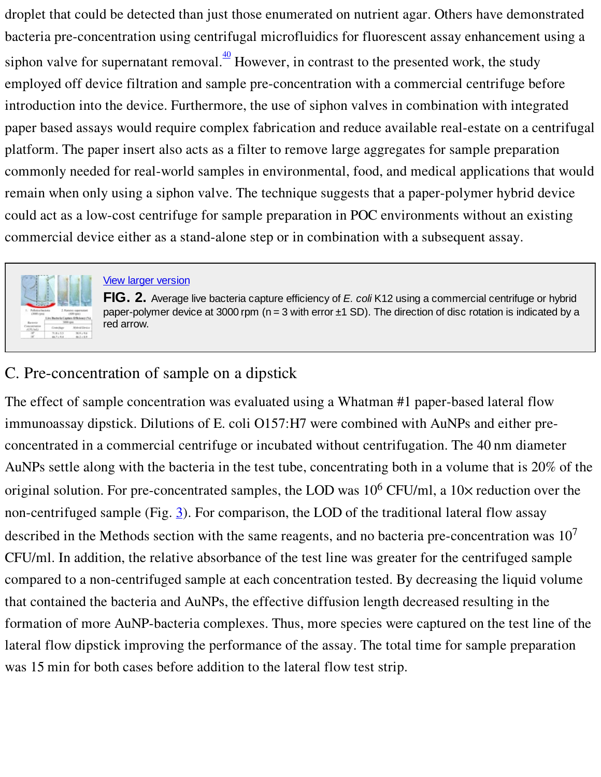droplet that could be detected than just those enumerated on nutrient agar. Others have demonstrated bacteria pre-concentration using centrifugal microfluidics for fluorescent assay enhancement using a siphon valve for supernatant removal. $\frac{40}{1}$  $\frac{40}{1}$  $\frac{40}{1}$  However, in contrast to the presented work, the study employed off device filtration and sample pre-concentration with a commercial centrifuge before introduction into the device. Furthermore, the use of siphon valves in combination with integrated paper based assays would require complex fabrication and reduce available real-estate on a centrifugal platform. The paper insert also acts as a filter to remove large aggregates for sample preparation commonly needed for real-world samples in environmental, food, and medical applications that would remain when only using a siphon valve. The technique suggests that a paper-polymer hybrid device could act as a low-cost centrifuge for sample preparation in POC environments without an existing commercial device either as a stand-alone step or in combination with a subsequent assay.

<span id="page-9-0"></span>

#### **View larger [version](#page-17-0)**

**FIG. 2.** Average live bacteria capture efficiency of *E. coli* K12 using a commercial centrifuge or hybrid paper-polymer device at 3000 rpm ( $n = 3$  with error  $\pm 1$  SD). The direction of disc rotation is indicated by a red arrow.

## C. Pre-concentration of sample on a dipstick

The effect of sample concentration was evaluated using a Whatman #1 paper-based lateral flow immunoassay dipstick. Dilutions of E. coli O157:H7 were combined with AuNPs and either preconcentrated in a commercial centrifuge or incubated without centrifugation. The 40 nm diameter AuNPs settle along with the bacteria in the test tube, concentrating both in a volume that is 20% of the original solution. For pre-concentrated samples, the LOD was  $10^6$  CFU/ml, a  $10\times$  reduction over the non-centrifuged sample (Fig.  $\underline{3}$  $\underline{3}$  $\underline{3}$ ). For comparison, the LOD of the traditional lateral flow assay described in the Methods section with the same reagents, and no bacteria pre-concentration was  $10^7$ CFU/ml. In addition, the relative absorbance of the test line was greater for the centrifuged sample compared to a non-centrifuged sample at each concentration tested. By decreasing the liquid volume that contained the bacteria and AuNPs, the effective diffusion length decreased resulting in the formation of more AuNP-bacteria complexes. Thus, more species were captured on the test line of the lateral flow dipstick improving the performance of the assay. The total time for sample preparation was 15 min for both cases before addition to the lateral flow test strip.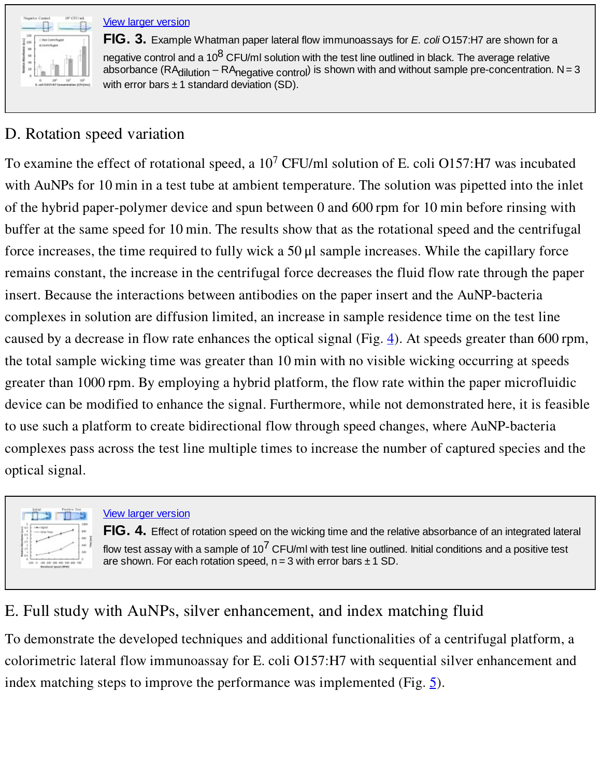<span id="page-10-1"></span><span id="page-10-0"></span>

View larger [version](#page-18-0)

**FIG. 3.** Example Whatman paper lateral flow immunoassays for *E. coli* O157:H7 are shown for a negative control and a 10 $^8$  CFU/ml solution with the test line outlined in black. The average relative absorbance (RA<sub>dilution</sub> – RA<sub>negative control</sub>) is shown with and without sample pre-concentration. N = 3 with error bars  $\pm 1$  standard deviation (SD).

# D. Rotation speed variation

To examine the effect of rotational speed, a  $10^7$  CFU/ml solution of E. coli O157:H7 was incubated with AuNPs for 10 min in a test tube at ambient temperature. The solution was pipetted into the inlet of the hybrid paper-polymer device and spun between 0 and 600 rpm for 10 min before rinsing with buffer at the same speed for 10 min. The results show that as the rotational speed and the centrifugal force increases, the time required to fully wick a 50 μl sample increases. While the capillary force remains constant, the increase in the centrifugal force decreases the fluid flow rate through the paper insert. Because the interactions between antibodies on the paper insert and the AuNP-bacteria complexes in solution are diffusion limited, an increase in sample residence time on the test line caused by a decrease in flow rate enhances the optical signal (Fig.  $\underline{4}$ ). At speeds greater than 600 rpm, the total sample wicking time was greater than 10 min with no visible wicking occurring at speeds greater than 1000 rpm. By employing a hybrid platform, the flow rate within the paper microfluidic device can be modified to enhance the signal. Furthermore, while not demonstrated here, it is feasible to use such a platform to create bidirectional flow through speed changes, where AuNP-bacteria complexes pass across the test line multiple times to increase the number of captured species and the optical signal.

<span id="page-10-2"></span>

#### **View larger [version](#page-19-0)**

**FIG. 4.** Effect of rotation speed on the wicking time and the relative absorbance of an integrated lateral flow test assay with a sample of 10 $^7$  CFU/ml with test line outlined. Initial conditions and a positive test are shown. For each rotation speed,  $n = 3$  with error bars  $\pm 1$  SD.

# E. Full study with AuNPs, silver enhancement, and index matching fluid

To demonstrate the developed techniques and additional functionalities of a centrifugal platform, a colorimetric lateral flow immunoassay for E. coli O157:H7 with sequential silver enhancement and index matching steps to improve the performance was implemented (Fig.  $\overline{5}$ ).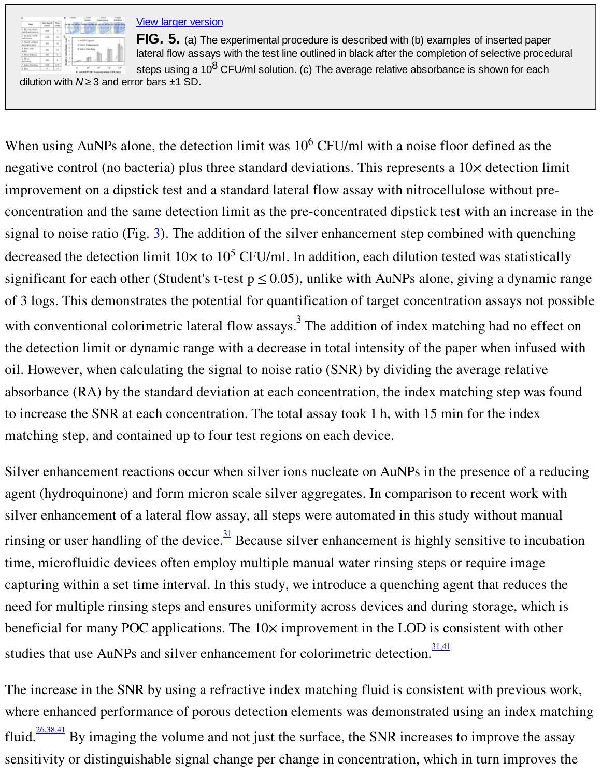<span id="page-11-0"></span>

#### **View larger [version](#page-20-0)**

**FIG. 5.** (a) The experimental procedure is described with (b) examples of inserted paper lateral flow assays with the test line outlined in black after the completion of selective procedural steps using a 10 $^8$  CFU/ml solution. (c) The average relative absorbance is shown for each

dilution with  $N \geq 3$  and error bars  $\pm 1$  SD.

When using AuNPs alone, the detection limit was 10<sup>6</sup> CFU/ml with a noise floor defined as the negative control (no bacteria) plus three standard deviations. This represents a  $10\times$  detection limit improvement on a dipstick test and a standard lateral flow assay with nitrocellulose without preconcentration and the same detection limit as the pre-concentrated dipstick test with an increase in the signal to noise ratio (Fig.  $\underline{3}$  $\underline{3}$  $\underline{3}$ ). The addition of the silver enhancement step combined with quenching decreased the detection limit  $10 \times$  to  $10^5$  CFU/ml. In addition, each dilution tested was statistically significant for each other (Student's t-test  $p \le 0.05$ ), unlike with AuNPs alone, giving a dynamic range of 3 logs. This demonstrates the potential for quantification of target concentration assays not possible with conventional colorimetric lateral flow assays.<sup>[3](#page-13-5)</sup> The addition of index matching had no effect on the detection limit or dynamic range with a decrease in total intensity of the paper when infused with oil. However, when calculating the signal to noise ratio (SNR) by dividing the average relative absorbance (RA) by the standard deviation at each concentration, the index matching step was found to increase the SNR at each concentration. The total assay took 1 h, with 15 min for the index matching step, and contained up to four test regions on each device.

Silver enhancement reactions occur when silver ions nucleate on AuNPs in the presence of a reducing agent (hydroquinone) and form micron scale silver aggregates. In comparison to recent work with silver enhancement of a lateral flow assay, all steps were automated in this study without manual rinsing or user handling of the device.  $\frac{31}{2}$  $\frac{31}{2}$  $\frac{31}{2}$  Because silver enhancement is highly sensitive to incubation time, microfluidic devices often employ multiple manual water rinsing steps or require image capturing within a set time interval. In this study, we introduce a quenching agent that reduces the need for multiple rinsing steps and ensures uniformity across devices and during storage, which is beneficial for many POC applications. The  $10\times$  improvement in the LOD is consistent with other studies that use AuNPs and silver enhancement for colorimetric detection.

The increase in the SNR by using a refractive index matching fluid is consistent with previous work, where enhanced performance of porous detection elements was demonstrated using an index matching fluid.  $\frac{26,38,41}{26,38,41}$  $\frac{26,38,41}{26,38,41}$  $\frac{26,38,41}{26,38,41}$  By imaging the volume and not just the surface, the SNR increases to improve the assay sensitivity or distinguishable signal change per change in concentration, which in turn improves the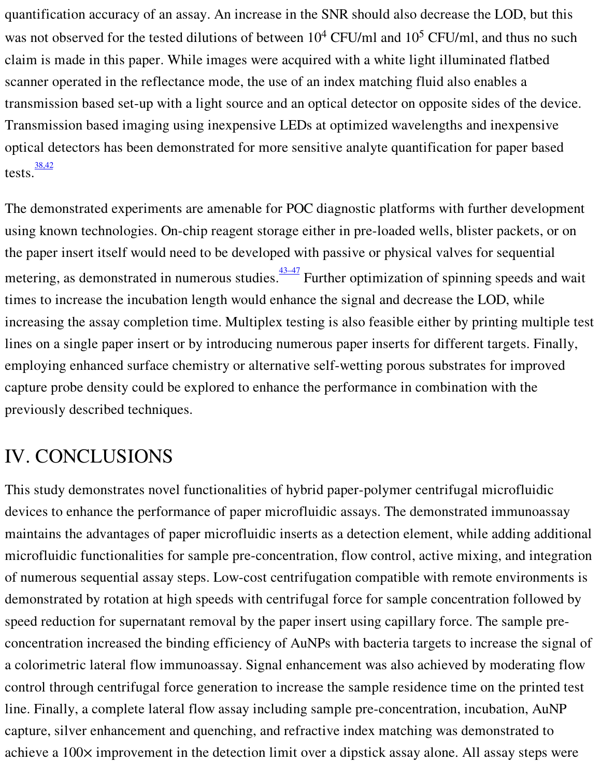quantification accuracy of an assay. An increase in the SNR should also decrease the LOD, but this was not observed for the tested dilutions of between  $10^4$  CFU/ml and  $10^5$  CFU/ml, and thus no such claim is made in this paper. While images were acquired with a white light illuminated flatbed scanner operated in the reflectance mode, the use of an index matching fluid also enables a transmission based set-up with a light source and an optical detector on opposite sides of the device. Transmission based imaging using inexpensive LEDs at optimized wavelengths and inexpensive optical detectors has been demonstrated for more sensitive analyte quantification for paper based tests. $\frac{38,42}{8}$  $\frac{38,42}{8}$  $\frac{38,42}{8}$ 

The demonstrated experiments are amenable for POC diagnostic platforms with further development using known technologies. On-chip reagent storage either in pre-loaded wells, blister packets, or on the paper insert itself would need to be developed with passive or physical valves for sequential metering, as demonstrated in numerous studies. <sup>[43–47](#page-15-6)</sup> Further optimization of spinning speeds and wait times to increase the incubation length would enhance the signal and decrease the LOD, while increasing the assay completion time. Multiplex testing is also feasible either by printing multiple test lines on a single paper insert or by introducing numerous paper inserts for different targets. Finally, employing enhanced surface chemistry or alternative self-wetting porous substrates for improved capture probe density could be explored to enhance the performance in combination with the previously described techniques.

# IV. CONCLUSIONS

This study demonstrates novel functionalities of hybrid paper-polymer centrifugal microfluidic devices to enhance the performance of paper microfluidic assays. The demonstrated immunoassay maintains the advantages of paper microfluidic inserts as a detection element, while adding additional microfluidic functionalities for sample pre-concentration, flow control, active mixing, and integration of numerous sequential assay steps. Low-cost centrifugation compatible with remote environments is demonstrated by rotation at high speeds with centrifugal force for sample concentration followed by speed reduction for supernatant removal by the paper insert using capillary force. The sample preconcentration increased the binding efficiency of AuNPs with bacteria targets to increase the signal of a colorimetric lateral flow immunoassay. Signal enhancement was also achieved by moderating flow control through centrifugal force generation to increase the sample residence time on the printed test line. Finally, a complete lateral flow assay including sample pre-concentration, incubation, AuNP capture, silver enhancement and quenching, and refractive index matching was demonstrated to achieve a 100× improvement in the detection limit over a dipstick assay alone. All assay steps were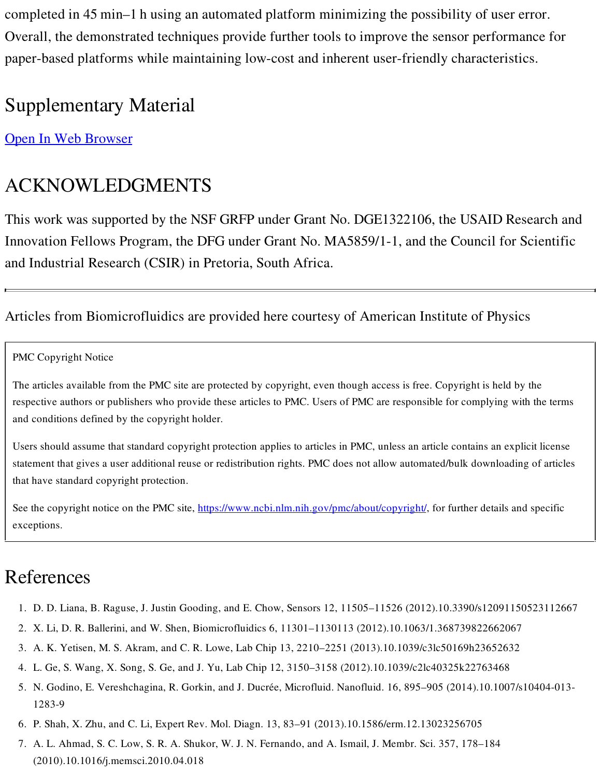completed in 45 min–1 h using an automated platform minimizing the possibility of user error. Overall, the demonstrated techniques provide further tools to improve the sensor performance for paper-based platforms while maintaining low-cost and inherent user-friendly characteristics.

# Supplementary Material

Open In Web [Browser](https://www.ncbi.nlm.nih.gov/pmc/articles/PMC5595585/#supplementary-material-sec)

# ACKNOWLEDGMENTS

This work was supported by the NSF GRFP under Grant No. DGE1322106, the USAID Research and Innovation Fellows Program, the DFG under Grant No. MA5859/1-1, and the Council for Scientific and Industrial Research (CSIR) in Pretoria, South Africa.

### Articles from Biomicrofluidics are provided here courtesy of American Institute of Physics

<span id="page-13-0"></span>PMC Copyright Notice

The articles available from the PMC site are protected by copyright, even though access is free. Copyright is held by the respective authors or publishers who provide these articles to PMC. Users of PMC are responsible for complying with the terms and conditions defined by the copyright holder.

Users should assume that standard copyright protection applies to articles in PMC, unless an article contains an explicit license statement that gives a user additional reuse or redistribution rights. PMC does not allow automated/bulk downloading of articles that have standard copyright protection.

See the copyright notice on the PMC site, [https://www.ncbi.nlm.nih.gov/pmc/about/copyright/,](https://www.ncbi.nlm.nih.gov/pmc/about/copyright/) for further details and specific exceptions.

# References

- <span id="page-13-1"></span>1. D. D. Liana, B. Raguse, J. Justin Gooding, and E. Chow, Sensors 12, 11505–11526 (2012).10.3390/s12091150523112667
- 2. X. Li, D. R. Ballerini, and W. Shen, Biomicrofluidics 6, 11301–1130113 (2012).10.1063/1.368739822662067
- <span id="page-13-5"></span>3. A. K. Yetisen, M. S. Akram, and C. R. Lowe, Lab Chip 13, 2210–2251 (2013).10.1039/c3lc50169h23652632
- <span id="page-13-2"></span>4. L. Ge, S. Wang, X. Song, S. Ge, and J. Yu, Lab Chip 12, 3150–3158 (2012).10.1039/c2lc40325k22763468
- <span id="page-13-3"></span>5. N. Godino, E. Vereshchagina, R. Gorkin, and J. Ducrée, Microfluid. Nanofluid. 16, 895–905 (2014).10.1007/s10404-013- 1283-9
- 6. P. Shah, X. Zhu, and C. Li, Expert Rev. Mol. Diagn. 13, 83–91 (2013).10.1586/erm.12.13023256705
- <span id="page-13-4"></span>7. A. L. Ahmad, S. C. Low, S. R. A. Shukor, W. J. N. Fernando, and A. Ismail, J. Membr. Sci. 357, 178–184 (2010).10.1016/j.memsci.2010.04.018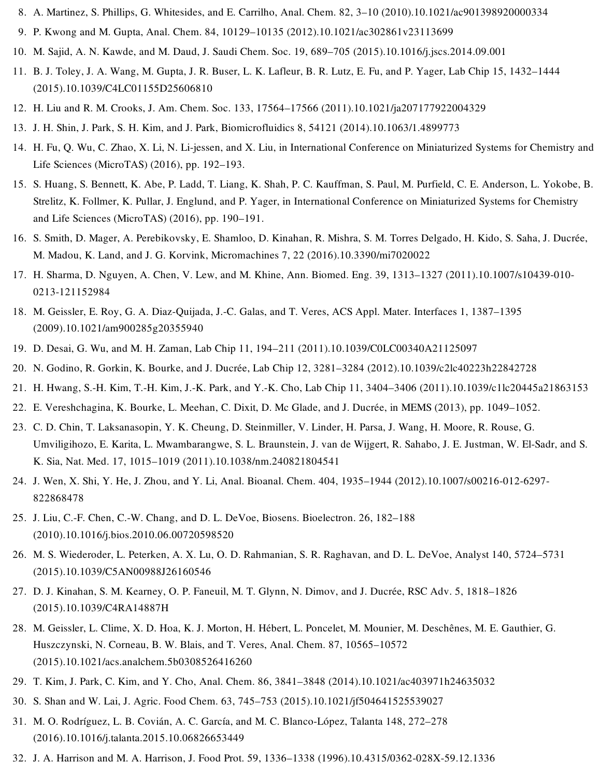- <span id="page-14-0"></span>8. A. Martinez, S. Phillips, G. Whitesides, and E. Carrilho, Anal. Chem. 82, 3–10 (2010).10.1021/ac901398920000334
- <span id="page-14-1"></span>9. P. Kwong and M. Gupta, Anal. Chem. 84, 10129–10135 (2012).10.1021/ac302861v23113699
- <span id="page-14-2"></span>10. M. Sajid, A. N. Kawde, and M. Daud, J. Saudi Chem. Soc. 19, 689–705 (2015).10.1016/j.jscs.2014.09.001
- <span id="page-14-3"></span>11. B. J. Toley, J. A. Wang, M. Gupta, J. R. Buser, L. K. Lafleur, B. R. Lutz, E. Fu, and P. Yager, Lab Chip 15, 1432–1444 (2015).10.1039/C4LC01155D25606810
- 12. H. Liu and R. M. Crooks, J. Am. Chem. Soc. 133, 17564–17566 (2011).10.1021/ja207177922004329
- 13. J. H. Shin, J. Park, S. H. Kim, and J. Park, Biomicrofluidics 8, 54121 (2014).10.1063/1.4899773
- 14. H. Fu, Q. Wu, C. Zhao, X. Li, N. Li-jessen, and X. Liu, in International Conference on Miniaturized Systems for Chemistry and Life Sciences (MicroTAS) (2016), pp. 192–193.
- 15. S. Huang, S. Bennett, K. Abe, P. Ladd, T. Liang, K. Shah, P. C. Kauffman, S. Paul, M. Purfield, C. E. Anderson, L. Yokobe, B. Strelitz, K. Follmer, K. Pullar, J. Englund, and P. Yager, in International Conference on Miniaturized Systems for Chemistry and Life Sciences (MicroTAS) (2016), pp. 190–191.
- <span id="page-14-4"></span>16. S. Smith, D. Mager, A. Perebikovsky, E. Shamloo, D. Kinahan, R. Mishra, S. M. Torres Delgado, H. Kido, S. Saha, J. Ducrée, M. Madou, K. Land, and J. G. Korvink, Micromachines 7, 22 (2016).10.3390/mi7020022
- <span id="page-14-5"></span>17. H. Sharma, D. Nguyen, A. Chen, V. Lew, and M. Khine, Ann. Biomed. Eng. 39, 1313–1327 (2011).10.1007/s10439-010- 0213-121152984
- 18. M. Geissler, E. Roy, G. A. Diaz-Quijada, J.-C. Galas, and T. Veres, ACS Appl. Mater. Interfaces 1, 1387–1395 (2009).10.1021/am900285g20355940
- 19. D. Desai, G. Wu, and M. H. Zaman, Lab Chip 11, 194–211 (2011).10.1039/C0LC00340A21125097
- <span id="page-14-6"></span>20. N. Godino, R. Gorkin, K. Bourke, and J. Ducrée, Lab Chip 12, 3281–3284 (2012).10.1039/c2lc40223h22842728
- <span id="page-14-9"></span>21. H. Hwang, S.-H. Kim, T.-H. Kim, J.-K. Park, and Y.-K. Cho, Lab Chip 11, 3404–3406 (2011).10.1039/c1lc20445a21863153
- 22. E. Vereshchagina, K. Bourke, L. Meehan, C. Dixit, D. Mc Glade, and J. Ducrée, in MEMS (2013), pp. 1049–1052.
- <span id="page-14-7"></span>23. C. D. Chin, T. Laksanasopin, Y. K. Cheung, D. Steinmiller, V. Linder, H. Parsa, J. Wang, H. Moore, R. Rouse, G. Umviligihozo, E. Karita, L. Mwambarangwe, S. L. Braunstein, J. van de Wijgert, R. Sahabo, J. E. Justman, W. El-Sadr, and S. K. Sia, Nat. Med. 17, 1015–1019 (2011).10.1038/nm.240821804541
- 24. J. Wen, X. Shi, Y. He, J. Zhou, and Y. Li, Anal. Bioanal. Chem. 404, 1935–1944 (2012).10.1007/s00216-012-6297- 822868478
- <span id="page-14-8"></span>25. J. Liu, C.-F. Chen, C.-W. Chang, and D. L. DeVoe, Biosens. Bioelectron. 26, 182–188 (2010).10.1016/j.bios.2010.06.00720598520
- <span id="page-14-15"></span>26. M. S. Wiederoder, L. Peterken, A. X. Lu, O. D. Rahmanian, S. R. Raghavan, and D. L. DeVoe, Analyst 140, 5724–5731 (2015).10.1039/C5AN00988J26160546
- <span id="page-14-10"></span>27. D. J. Kinahan, S. M. Kearney, O. P. Faneuil, M. T. Glynn, N. Dimov, and J. Ducrée, RSC Adv. 5, 1818–1826 (2015).10.1039/C4RA14887H
- <span id="page-14-11"></span>28. M. Geissler, L. Clime, X. D. Hoa, K. J. Morton, H. Hébert, L. Poncelet, M. Mounier, M. Deschênes, M. E. Gauthier, G. Huszczynski, N. Corneau, B. W. Blais, and T. Veres, Anal. Chem. 87, 10565–10572 (2015).10.1021/acs.analchem.5b0308526416260
- 29. T. Kim, J. Park, C. Kim, and Y. Cho, Anal. Chem. 86, 3841–3848 (2014).10.1021/ac403971h24635032
- <span id="page-14-12"></span>30. S. Shan and W. Lai, J. Agric. Food Chem. 63, 745–753 (2015).10.1021/jf504641525539027
- <span id="page-14-13"></span>31. M. O. Rodríguez, L. B. Covián, A. C. García, and M. C. Blanco-López, Talanta 148, 272–278 (2016).10.1016/j.talanta.2015.10.06826653449
- <span id="page-14-14"></span>32. J. A. Harrison and M. A. Harrison, J. Food Prot. 59, 1336–1338 (1996).10.4315/0362-028X-59.12.1336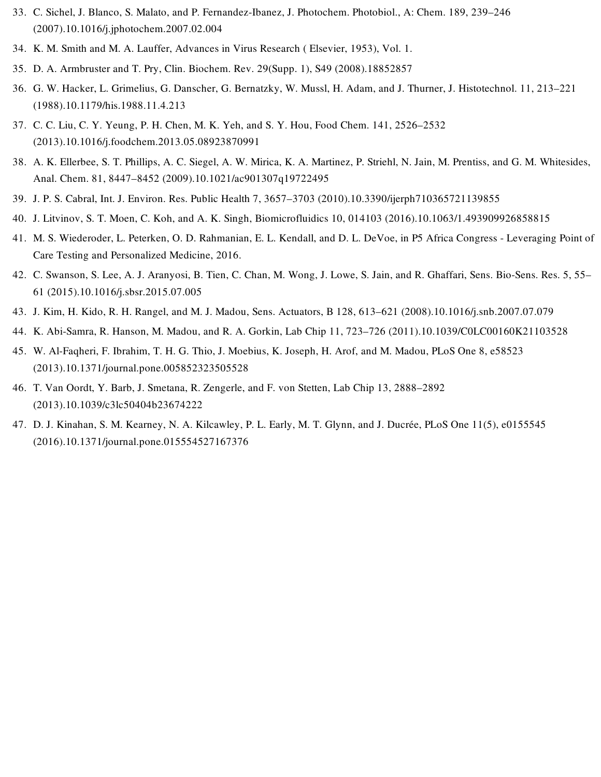- 33. C. Sichel, J. Blanco, S. Malato, and P. Fernandez-Ibanez, J. Photochem. Photobiol., A: Chem. 189, 239–246 (2007).10.1016/j.jphotochem.2007.02.004
- 34. K. M. Smith and M. A. Lauffer, Advances in Virus Research ( Elsevier, 1953), Vol. 1.
- <span id="page-15-0"></span>35. D. A. Armbruster and T. Pry, Clin. Biochem. Rev. 29(Supp. 1), S49 (2008).18852857
- <span id="page-15-1"></span>36. G. W. Hacker, L. Grimelius, G. Danscher, G. Bernatzky, W. Mussl, H. Adam, and J. Thurner, J. Histotechnol. 11, 213–221 (1988).10.1179/his.1988.11.4.213
- <span id="page-15-2"></span>37. C. C. Liu, C. Y. Yeung, P. H. Chen, M. K. Yeh, and S. Y. Hou, Food Chem. 141, 2526–2532 (2013).10.1016/j.foodchem.2013.05.08923870991
- <span id="page-15-3"></span>38. A. K. Ellerbee, S. T. Phillips, A. C. Siegel, A. W. Mirica, K. A. Martinez, P. Striehl, N. Jain, M. Prentiss, and G. M. Whitesides, Anal. Chem. 81, 8447–8452 (2009).10.1021/ac901307q19722495
- <span id="page-15-4"></span>39. J. P. S. Cabral, Int. J. Environ. Res. Public Health 7, 3657–3703 (2010).10.3390/ijerph710365721139855
- <span id="page-15-5"></span>40. J. Litvinov, S. T. Moen, C. Koh, and A. K. Singh, Biomicrofluidics 10, 014103 (2016).10.1063/1.493909926858815
- 41. M. S. Wiederoder, L. Peterken, O. D. Rahmanian, E. L. Kendall, and D. L. DeVoe, in P5 Africa Congress Leveraging Point of Care Testing and Personalized Medicine, 2016.
- 42. C. Swanson, S. Lee, A. J. Aranyosi, B. Tien, C. Chan, M. Wong, J. Lowe, S. Jain, and R. Ghaffari, Sens. Bio-Sens. Res. 5, 55– 61 (2015).10.1016/j.sbsr.2015.07.005
- <span id="page-15-6"></span>43. J. Kim, H. Kido, R. H. Rangel, and M. J. Madou, Sens. Actuators, B 128, 613–621 (2008).10.1016/j.snb.2007.07.079
- 44. K. Abi-Samra, R. Hanson, M. Madou, and R. A. Gorkin, Lab Chip 11, 723–726 (2011).10.1039/C0LC00160K21103528
- 45. W. Al-Faqheri, F. Ibrahim, T. H. G. Thio, J. Moebius, K. Joseph, H. Arof, and M. Madou, PLoS One 8, e58523 (2013).10.1371/journal.pone.005852323505528
- 46. T. Van Oordt, Y. Barb, J. Smetana, R. Zengerle, and F. von Stetten, Lab Chip 13, 2888–2892 (2013).10.1039/c3lc50404b23674222
- 47. D. J. Kinahan, S. M. Kearney, N. A. Kilcawley, P. L. Early, M. T. Glynn, and J. Ducrée, PLoS One 11(5), e0155545 (2016).10.1371/journal.pone.015554527167376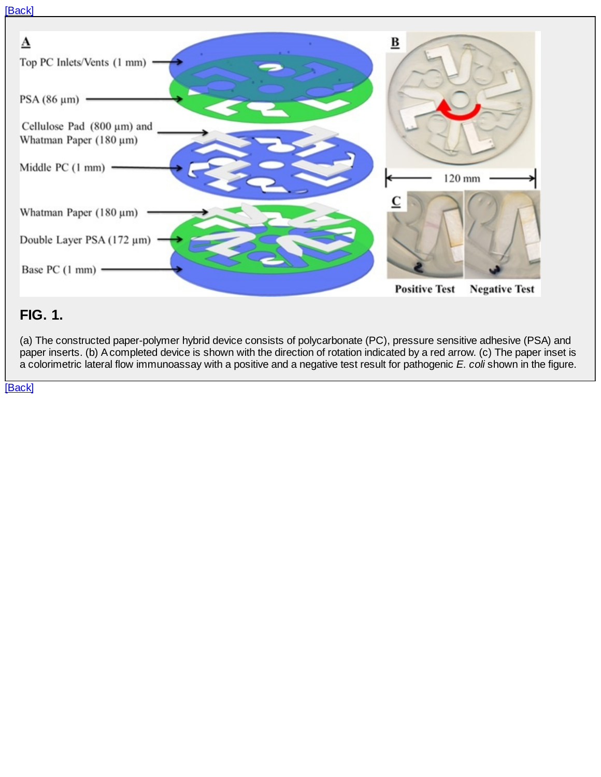#### <span id="page-16-0"></span>[\[Back\]](#page-4-0)



### **FIG. 1.**

(a) The constructed paper-polymer hybrid device consists of polycarbonate (PC), pressure sensitive adhesive (PSA) and paper inserts. (b) A completed device is shown with the direction of rotation indicated by a red arrow. (c) The paper inset is a colorimetric lateral flow immunoassay with a positive and a negative test result for pathogenic *E. coli* shown in the figure.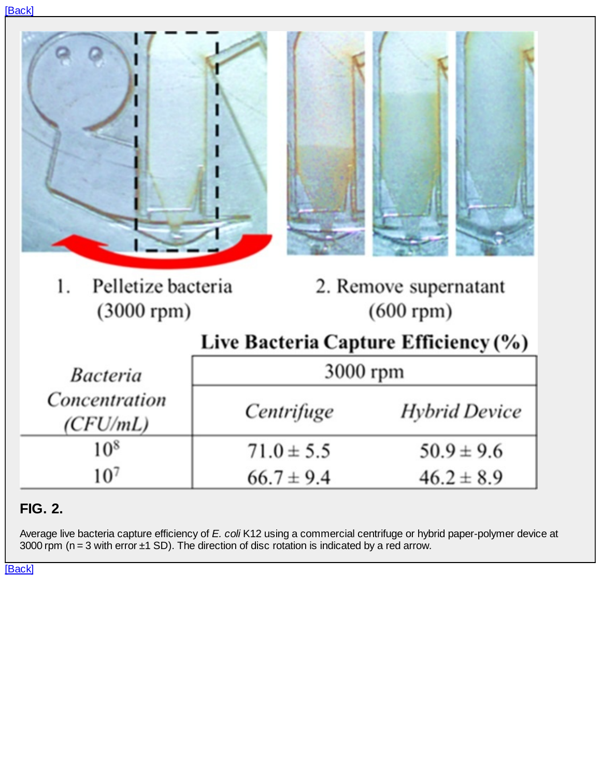<span id="page-17-0"></span>

|--|

| Pelletize bacteria<br>1.<br>2. Remove supernatant<br>$(3000$ rpm $)$<br>$(600$ rpm $)$<br>Live Bacteria Capture Efficiency (%)<br>3000 rpm<br><i>Bacteria</i><br>Concentration<br>Centrifuge<br>(CFU/mL) |                 |                |                      |  |  |  |
|----------------------------------------------------------------------------------------------------------------------------------------------------------------------------------------------------------|-----------------|----------------|----------------------|--|--|--|
|                                                                                                                                                                                                          |                 |                |                      |  |  |  |
|                                                                                                                                                                                                          |                 |                |                      |  |  |  |
|                                                                                                                                                                                                          |                 |                |                      |  |  |  |
|                                                                                                                                                                                                          |                 |                |                      |  |  |  |
|                                                                                                                                                                                                          |                 |                | <b>Hybrid Device</b> |  |  |  |
|                                                                                                                                                                                                          | 10 <sup>8</sup> | $71.0 \pm 5.5$ | $50.9 \pm 9.6$       |  |  |  |
| 10 <sup>7</sup><br>$66.7 \pm 9.4$<br>$46.2 \pm 8.9$                                                                                                                                                      |                 |                |                      |  |  |  |

## **FIG. 2.**

Average live bacteria capture efficiency of *E. coli* K12 using a commercial centrifuge or hybrid paper-polymer device at 3000 rpm ( $n = 3$  with error  $\pm 1$  SD). The direction of disc rotation is indicated by a red arrow.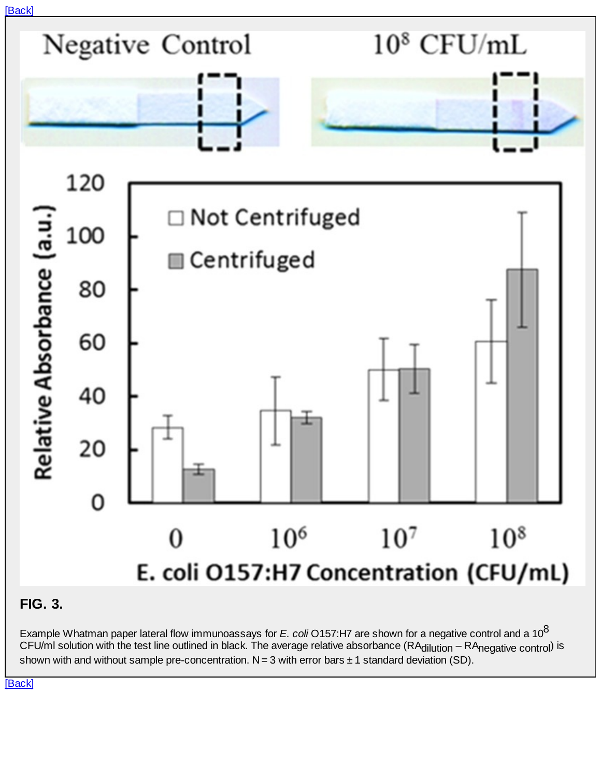<span id="page-18-0"></span>

### **FIG. 3.**

Example Whatman paper lateral flow immunoassays for *E. coli* O157:H7 are shown for a negative control and a 10 8 CFU/mI solution with the test line outlined in black. The average relative absorbance (RA<sub>dilution</sub> – RA<sub>negative control</sub>) is shown with and without sample pre-concentration.  $N = 3$  with error bars  $\pm 1$  standard deviation (SD).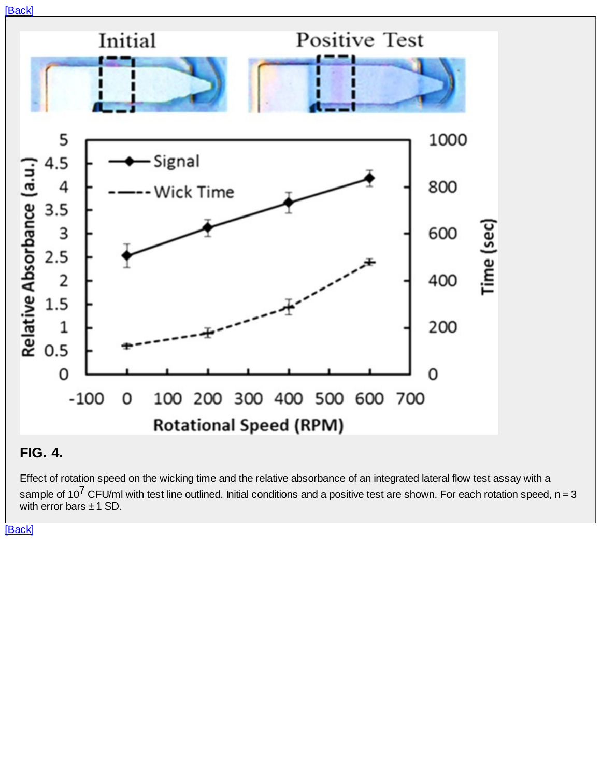<span id="page-19-0"></span>

### **FIG. 4.**

Effect of rotation speed on the wicking time and the relative absorbance of an integrated lateral flow test assay with a sample of 10<sup>7</sup> CFU/ml with test line outlined. Initial conditions and a positive test are shown. For each rotation speed, n = 3 with error bars  $\pm$  1 SD.